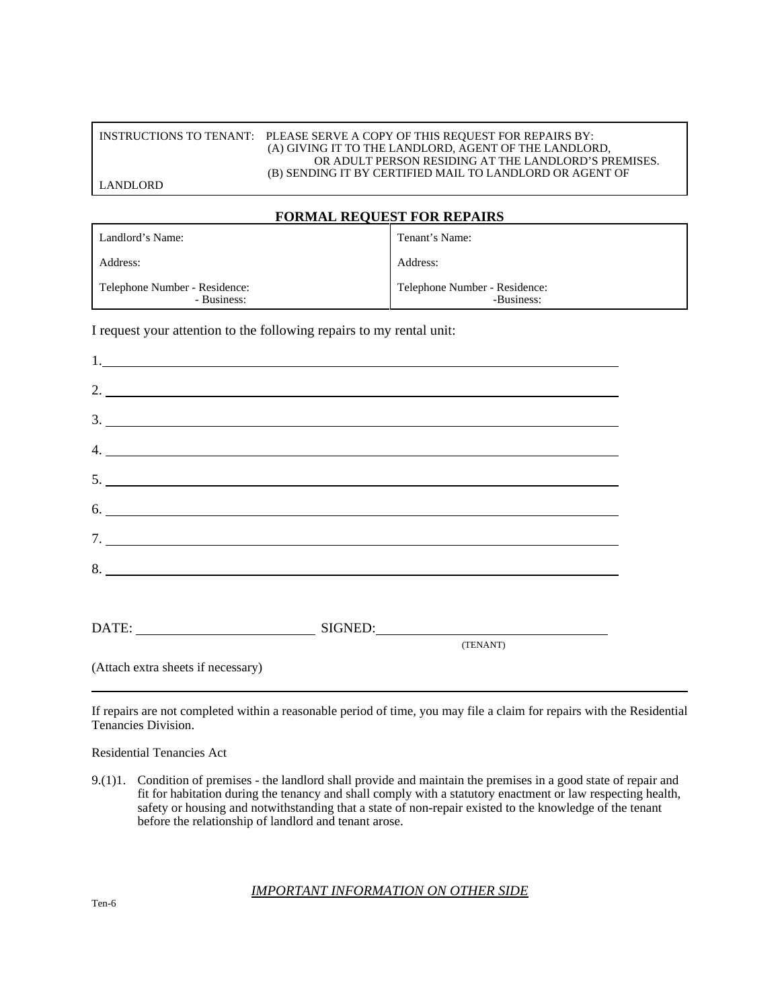#### INSTRUCTIONS TO TENANT: PLEASE SERVE A COPY OF THIS REQUEST FOR REPAIRS BY: (A) GIVING IT TO THE LANDLORD, AGENT OF THE LANDLORD, OR ADULT PERSON RESIDING AT THE LANDLORD'S PREMISES. (B) SENDING IT BY CERTIFIED MAIL TO LANDLORD OR AGENT OF

LANDLORD

### **FORMAL REQUEST FOR REPAIRS**

| Landlord's Name:                             | Tenant's Name:                              |
|----------------------------------------------|---------------------------------------------|
| Address:                                     | Address:                                    |
| Telephone Number - Residence:<br>- Business: | Telephone Number - Residence:<br>-Business: |

I request your attention to the following repairs to my rental unit:

| 2. $\overline{\phantom{a}}$        |          |
|------------------------------------|----------|
| $\frac{3}{2}$                      |          |
| $\frac{4}{2}$                      |          |
|                                    |          |
| $\frac{1}{2}$                      |          |
| 7.                                 |          |
|                                    |          |
|                                    |          |
| DATE: SIGNED: SIGNED:              |          |
|                                    | (TENANT) |
| (Attach extra sheets if necessary) |          |

If repairs are not completed within a reasonable period of time, you may file a claim for repairs with the Residential Tenancies Division.

Residential Tenancies Act

9.(1)1. Condition of premises - the landlord shall provide and maintain the premises in a good state of repair and fit for habitation during the tenancy and shall comply with a statutory enactment or law respecting health, safety or housing and notwithstanding that a state of non-repair existed to the knowledge of the tenant before the relationship of landlord and tenant arose.

#### *IMPORTANT INFORMATION ON OTHER SIDE*

Ten-6

ׇ֧֬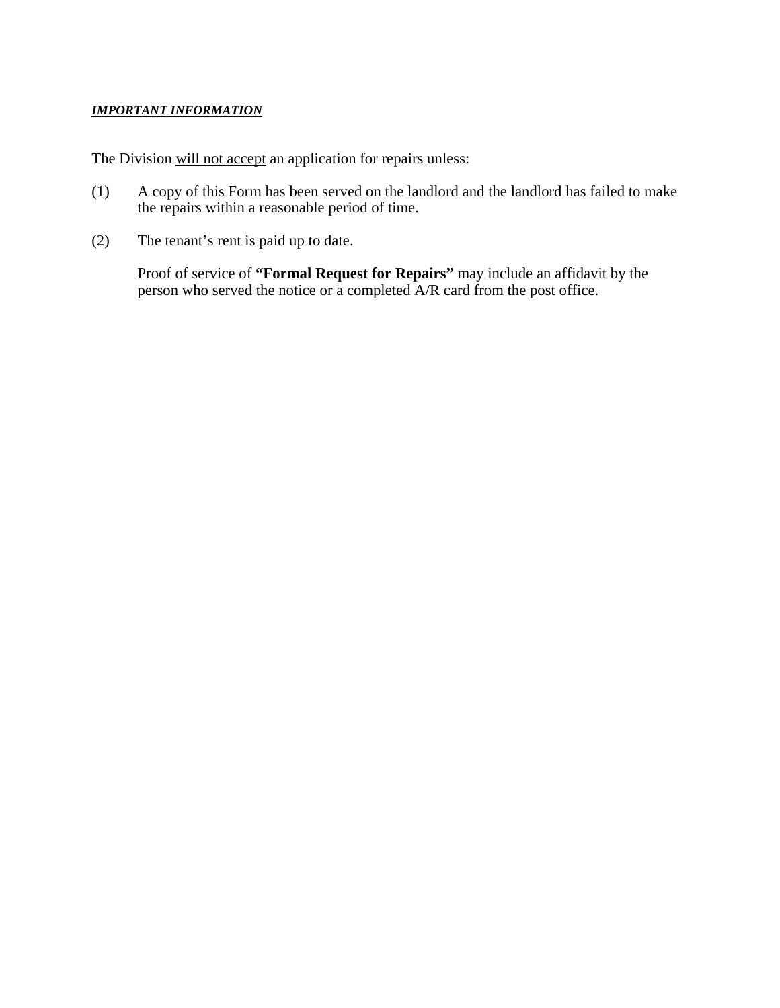## *IMPORTANT INFORMATION*

The Division will not accept an application for repairs unless:

- (1) A copy of this Form has been served on the landlord and the landlord has failed to make the repairs within a reasonable period of time.
- (2) The tenant's rent is paid up to date.

Proof of service of **"Formal Request for Repairs"** may include an affidavit by the person who served the notice or a completed A/R card from the post office.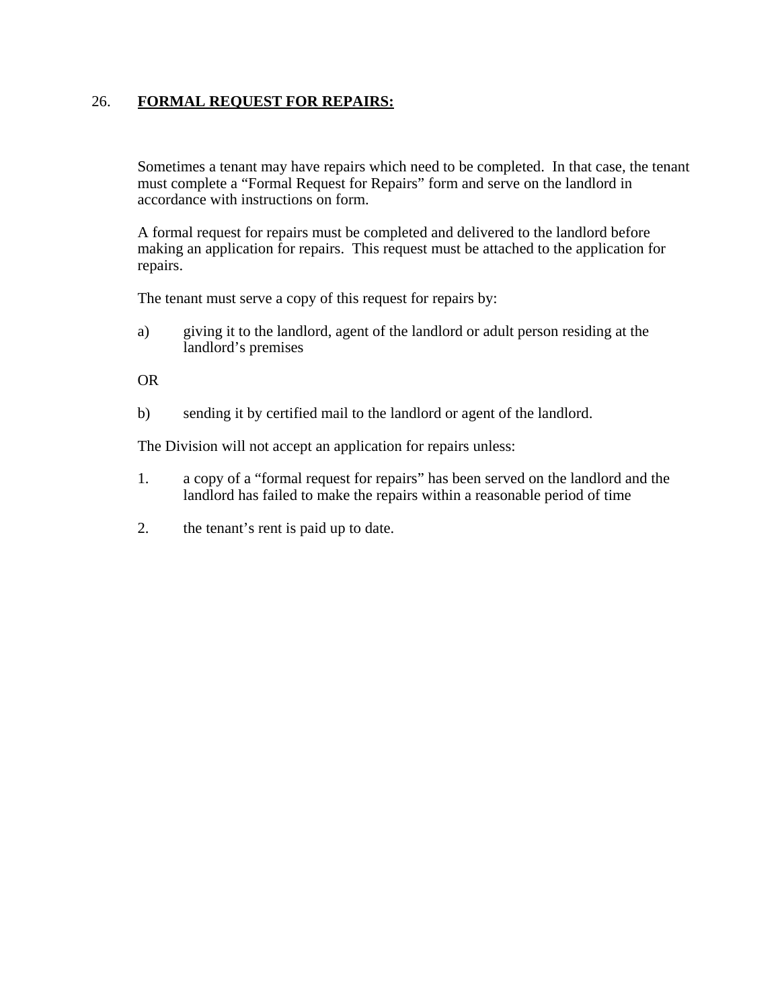# 26. **FORMAL REQUEST FOR REPAIRS:**

Sometimes a tenant may have repairs which need to be completed. In that case, the tenant must complete a "Formal Request for Repairs" form and serve on the landlord in accordance with instructions on form.

A formal request for repairs must be completed and delivered to the landlord before making an application for repairs. This request must be attached to the application for repairs.

The tenant must serve a copy of this request for repairs by:

a) giving it to the landlord, agent of the landlord or adult person residing at the landlord's premises

OR

b) sending it by certified mail to the landlord or agent of the landlord.

The Division will not accept an application for repairs unless:

- 1. a copy of a "formal request for repairs" has been served on the landlord and the landlord has failed to make the repairs within a reasonable period of time
- 2. the tenant's rent is paid up to date.